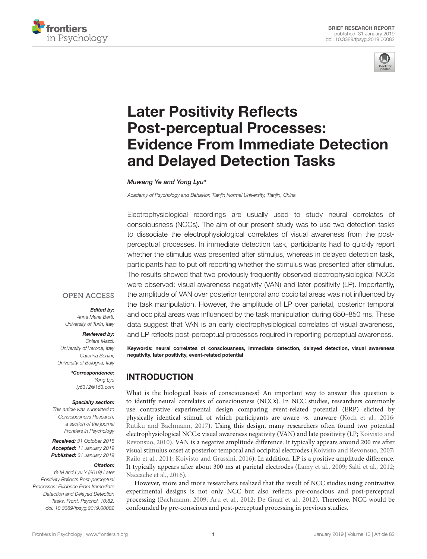



# Later Positivity Reflects Post-perceptual Processes: [Evidence From Immediate Detection](https://www.frontiersin.org/articles/10.3389/fpsyg.2019.00082/full) and Delayed Detection Tasks

[Muwang Ye](http://loop.frontiersin.org/people/630794/overview) and [Yong Lyu](http://loop.frontiersin.org/people/676000/overview)\*

Academy of Psychology and Behavior, Tianjin Normal University, Tianjin, China

Electrophysiological recordings are usually used to study neural correlates of consciousness (NCCs). The aim of our present study was to use two detection tasks to dissociate the electrophysiological correlates of visual awareness from the postperceptual processes. In immediate detection task, participants had to quickly report whether the stimulus was presented after stimulus, whereas in delayed detection task, participants had to put off reporting whether the stimulus was presented after stimulus. The results showed that two previously frequently observed electrophysiological NCCs were observed: visual awareness negativity (VAN) and later positivity (LP). Importantly, the amplitude of VAN over posterior temporal and occipital areas was not influenced by the task manipulation. However, the amplitude of LP over parietal, posterior temporal and occipital areas was influenced by the task manipulation during 650–850 ms. These data suggest that VAN is an early electrophysiological correlates of visual awareness, and LP reflects post-perceptual processes required in reporting perceptual awareness.

#### **OPEN ACCESS**

#### Edited by:

Anna Maria Berti, University of Turin, Italy

#### Reviewed by:

Chiara Mazzi, University of Verona, Italy Caterina Bertini, University of Bologna, Italy

> \*Correspondence: Yong Lyu ly6312@163.com

#### Specialty section:

This article was submitted to Consciousness Research, a section of the journal Frontiers in Psychology

Received: 31 October 2018 Accepted: 11 January 2019 Published: 31 January 2019

#### Citation:

Ye M and Lyu Y (2019) Later Positivity Reflects Post-perceptual Processes: Evidence From Immediate Detection and Delayed Detection Tasks. Front. Psychol. 10:82. doi: [10.3389/fpsyg.2019.00082](https://doi.org/10.3389/fpsyg.2019.00082)

Keywords: neural correlates of consciousness, immediate detection, delayed detection, visual awareness negativity, later positivity, event-related potential

# INTRODUCTION

What is the biological basis of consciousness? An important way to answer this question is to identify neural correlates of consciousness (NCCs). In NCC studies, researchers commonly use contrastive experimental design comparing event-related potential (ERP) elicited by physically identical stimuli of which participants are aware vs. unaware [\(Koch et al.,](#page-4-0) [2016;](#page-4-0) [Rutiku and Bachmann,](#page-4-1) [2017\)](#page-4-1). Using this design, many researchers often found two potential electrophysiological NCCs: visual awareness negativity (VAN) and late positivity (LP; [Koivisto and](#page-4-2) [Revonsuo,](#page-4-2) [2010\)](#page-4-2). VAN is a negative amplitude difference. It typically appears around 200 ms after visual stimulus onset at posterior temporal and occipital electrodes [\(Koivisto and Revonsuo,](#page-4-3) [2007;](#page-4-3) [Railo et al.,](#page-4-4) [2011;](#page-4-4) [Koivisto and Grassini,](#page-4-5) [2016\)](#page-4-5). In addition, LP is a positive amplitude difference. It typically appears after about 300 ms at parietal electrodes [\(Lamy et al.,](#page-4-6) [2009;](#page-4-6) [Salti et al.,](#page-4-7) [2012;](#page-4-7) [Naccache et al.,](#page-4-8) [2016\)](#page-4-8).

However, more and more researchers realized that the result of NCC studies using contrastive experimental designs is not only NCC but also reflects pre-conscious and post-perceptual processing [\(Bachmann,](#page-4-9) [2009;](#page-4-9) [Aru et al.,](#page-4-10) [2012;](#page-4-10) [De Graaf et al.,](#page-4-11) [2012\)](#page-4-11). Therefore, NCC would be confounded by pre-conscious and post-perceptual processing in previous studies.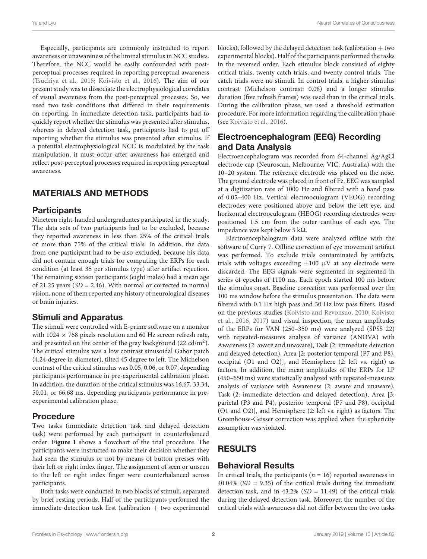Especially, participants are commonly instructed to report awareness or unawareness of the liminal stimulus in NCC studies. Therefore, the NCC would be easily confounded with postperceptual processes required in reporting perceptual awareness [\(Tsuchiya et al.,](#page-4-12) [2015;](#page-4-12) [Koivisto et al.,](#page-4-13) [2016\)](#page-4-13). The aim of our present study was to dissociate the electrophysiological correlates of visual awareness from the post-perceptual processes. So, we used two task conditions that differed in their requirements on reporting. In immediate detection task, participants had to quickly report whether the stimulus was presented after stimulus, whereas in delayed detection task, participants had to put off reporting whether the stimulus was presented after stimulus. If a potential electrophysiological NCC is modulated by the task manipulation, it must occur after awareness has emerged and reflect post-perceptual processes required in reporting perceptual awareness.

# MATERIALS AND METHODS

#### **Participants**

Nineteen right-handed undergraduates participated in the study. The data sets of two participants had to be excluded, because they reported awareness in less than 25% of the critical trials or more than 75% of the critical trials. In addition, the data from one participant had to be also excluded, because his data did not contain enough trials for computing the ERPs for each condition (at least 35 per stimulus type) after artifact rejection. The remaining sixteen participants (eight males) had a mean age of 21.25 years ( $SD = 2.46$ ). With normal or corrected to normal vision, none of them reported any history of neurological diseases or brain injuries.

#### Stimuli and Apparatus

The stimuli were controlled with E-prime software on a monitor with  $1024 \times 768$  pixels resolution and 60 Hz screen refresh rate, and presented on the center of the gray background (22 cd/m<sup>2</sup>). The critical stimulus was a low contrast sinusoidal Gabor patch (4.24 degree in diameter), tilted 45 degree to left. The Michelson contrast of the critical stimulus was 0.05, 0.06, or 0.07, depending participants performance in pre-experimental calibration phase. In addition, the duration of the critical stimulus was 16.67, 33.34, 50.01, or 66.68 ms, depending participants performance in preexperimental calibration phase.

# Procedure

Two tasks (immediate detection task and delayed detection task) were performed by each participant in counterbalanced order. **[Figure 1](#page-2-0)** shows a flowchart of the trial procedure. The participants were instructed to make their decision whether they had seen the stimulus or not by means of button presses with their left or right index finger. The assignment of seen or unseen to the left or right index finger were counterbalanced across participants.

Both tasks were conducted in two blocks of stimuli, separated by brief resting periods. Half of the participants performed the immediate detection task first (calibration + two experimental blocks), followed by the delayed detection task (calibration  $+$  two experimental blocks). Half of the participants performed the tasks in the reversed order. Each stimulus block consisted of eighty critical trials, twenty catch trials, and twenty control trials. The catch trials were no stimuli. In control trials, a higher stimulus contrast (Michelson contrast: 0.08) and a longer stimulus duration (five refresh frames) was used than in the critical trials. During the calibration phase, we used a threshold estimation procedure. For more information regarding the calibration phase (see [Koivisto et al.,](#page-4-13) [2016\)](#page-4-13).

# Electroencephalogram (EEG) Recording and Data Analysis

Electroencephalogram was recorded from 64-channel Ag/AgCl electrode cap (Neuroscan, Melbourne, VIC, Australia) with the 10–20 system. The reference electrode was placed on the nose. The ground electrode was placed in front of Fz. EEG was sampled at a digitization rate of 1000 Hz and filtered with a band pass of 0.05–400 Hz. Vertical electrooculogram (VEOG) recording electrodes were positioned above and below the left eye, and horizontal electrooculogram (HEOG) recording electrodes were positioned 1.5 cm from the outer canthus of each eye. The impedance was kept below 5 k $\Omega$ .

Electroencephalogram data were analyzed offline with the software of Curry 7. Offline correction of eye movement artifact was performed. To exclude trials contaminated by artifacts, trials with voltages exceeding  $\pm 100 \mu$ V at any electrode were discarded. The EEG signals were segmented in segmented in series of epochs of 1100 ms. Each epoch started 100 ms before the stimulus onset. Baseline correction was performed over the 100 ms window before the stimulus presentation. The data were filtered with 0.1 Hz high pass and 30 Hz low pass filters. Based on the previous studies [\(Koivisto and Revonsuo,](#page-4-2) [2010;](#page-4-2) [Koivisto](#page-4-13) [et al.,](#page-4-13) [2016,](#page-4-13) [2017\)](#page-4-14) and visual inspection, the mean amplitudes of the ERPs for VAN (250–350 ms) were analyzed (SPSS 22) with repeated-measures analysis of variance (ANOVA) with Awareness (2: aware and unaware), Task (2: immediate detection and delayed detection), Area [2: posterior temporal (P7 and P8), occipital (O1 and O2)], and Hemisphere (2: left vs. right) as factors. In addition, the mean amplitudes of the ERPs for LP (450–650 ms) were statistically analyzed with repeated-measures analysis of variance with Awareness (2: aware and unaware), Task (2: immediate detection and delayed detection), Area [3: parietal (P3 and P4), posterior temporal (P7 and P8), occipital (O1 and O2)], and Hemisphere (2: left vs. right) as factors. The Greenhouse-Geisser correction was applied when the sphericity assumption was violated.

# RESULTS

# Behavioral Results

In critical trials, the participants ( $n = 16$ ) reported awareness in  $40.04\%$  (SD = 9.35) of the critical trials during the immediate detection task, and in  $43.2\%$  (SD = 11.49) of the critical trials during the delayed detection task. Moreover, the number of the critical trials with awareness did not differ between the two tasks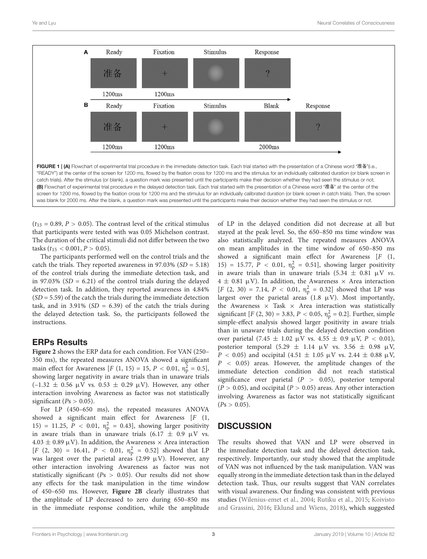

<span id="page-2-0"></span> $(t_{15} = 0.89, P > 0.05)$ . The contrast level of the critical stimulus that participants were tested with was 0.05 Michelson contrast. The duration of the critical stimuli did not differ between the two tasks ( $t_{15}$  < 0.001,  $P > 0.05$ ).

The participants performed well on the control trials and the catch the trials. They reported awareness in 97.03% ( $SD = 5.18$ ) of the control trials during the immediate detection task, and in 97.03% ( $SD = 6.21$ ) of the control trials during the delayed detection task. In addition, they reported awareness in 4.84%  $(SD = 5.59)$  of the catch the trials during the immediate detection task, and in 3.91% ( $SD = 6.39$ ) of the catch the trials during the delayed detection task. So, the participants followed the instructions.

# ERPs Results

**[Figure 2](#page-3-0)** shows the ERP data for each condition. For VAN (250– 350 ms), the repeated measures ANOVA showed a significant main effect for Awareness [ $F(1, 15) = 15, P < 0.01, \eta_p^2 = 0.5$ ], showing larger negativity in aware trials than in unaware trials  $(-1.32 \pm 0.56 \,\mu\text{V}$  vs.  $0.53 \pm 0.29 \,\mu\text{V}$ ). However, any other interaction involving Awareness as factor was not statistically significant ( $Ps > 0.05$ ).

For LP (450–650 ms), the repeated measures ANOVA showed a significant main effect for Awareness [F (1, 15) = 11.25,  $P < 0.01$ ,  $\eta_p^2 = 0.43$ , showing larger positivity in aware trials than in unaware trials  $(6.17 \pm 0.9 \, \mu V \text{ vs.}$  $4.03 \pm 0.89 \,\mathrm{\upmu V}$ ). In addition, the Awareness  $\times$  Area interaction  $[F (2, 30) = 16.41, P < 0.01, \eta_{p}^{2} = 0.52]$  showed that LP was largest over the parietal areas (2.99  $\mu$ V). However, any other interaction involving Awareness as factor was not statistically significant ( $Ps > 0.05$ ). Our results did not show any effects for the task manipulation in the time window of 450–650 ms. However, **[Figure 2B](#page-3-0)** clearly illustrates that the amplitude of LP decreased to zero during 650–850 ms in the immediate response condition, while the amplitude of LP in the delayed condition did not decrease at all but stayed at the peak level. So, the 650–850 ms time window was also statistically analyzed. The repeated measures ANOVA on mean amplitudes in the time window of 650–850 ms showed a significant main effect for Awareness [F (1, 15) = 15.77,  $P < 0.01$ ,  $\eta_{p}^{2} = 0.51$ , showing larger positivity in aware trials than in unaware trials  $(5.34 \pm 0.81 \, \mu V \, \nu s$ .  $4 \pm 0.81 \, \mu$ V). In addition, the Awareness  $\times$  Area interaction  $[F (2, 30) = 7.14, P < 0.01, \eta_p^2 = 0.32]$  showed that LP was largest over the parietal areas  $(1.8 \mu V)$ . Most importantly, the Awareness  $\times$  Task  $\times$  Area interaction was statistically significant [*F* (2, 30) = 3.83, *P* < 0.05,  $\eta_p^2$  = 0.2]. Further, simple simple-effect analysis showed larger positivity in aware trials than in unaware trials during the delayed detection condition over parietal  $(7.45 \pm 1.02 \mu V \text{ vs. } 4.55 \pm 0.9 \mu V, P < 0.01)$ , posterior temporal (5.29  $\pm$  1.14  $\mu$ V vs. 3.56  $\pm$  0.98  $\mu$ V,  $P$  < 0.05) and occipital (4.51  $\pm$  1.05  $\mu$ V vs. 2.44  $\pm$  0.88  $\mu$ V,  $P < 0.05$ ) areas. However, the amplitude changes of the immediate detection condition did not reach statistical significance over parietal ( $P > 0.05$ ), posterior temporal  $(P > 0.05)$ , and occipital  $(P > 0.05)$  areas. Any other interaction involving Awareness as factor was not statistically significant  $(Ps > 0.05)$ .

# **DISCUSSION**

The results showed that VAN and LP were observed in the immediate detection task and the delayed detection task, respectively. Importantly, our study showed that the amplitude of VAN was not influenced by the task manipulation. VAN was equally strong in the immediate detection task than in the delayed detection task. Thus, our results suggest that VAN correlates with visual awareness. Our finding was consistent with previous studies [\(Wilenius-emet et al.,](#page-4-15) [2004;](#page-4-15) [Rutiku et al.,](#page-4-16) [2015;](#page-4-16) [Koivisto](#page-4-5) [and Grassini,](#page-4-5) [2016;](#page-4-5) [Eklund and Wiens,](#page-4-17) [2018\)](#page-4-17), which suggested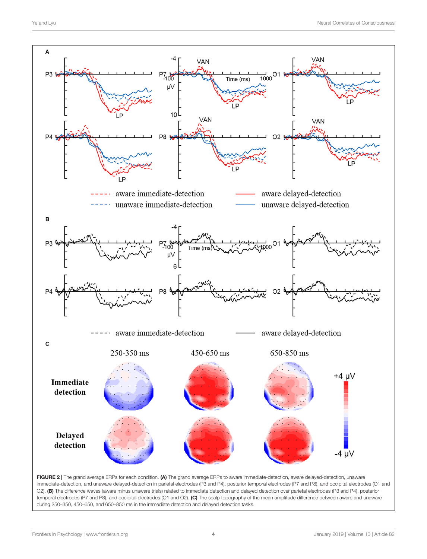

<span id="page-3-0"></span>